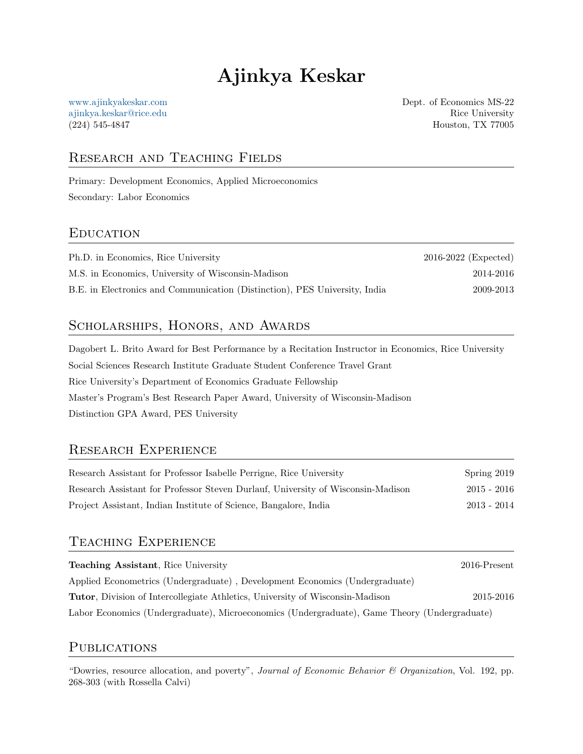# Ajinkya Keskar

[www.ajinkyakeskar.com](https://www.ajinkyakeskar.com) [ajinkya.keskar@rice.edu](mailto:ajinkya.keskar@rice.edu) (224) 545-4847

Dept. of Economics MS-22 Rice University Houston, TX 77005

# Research and Teaching Fields

Primary: Development Economics, Applied Microeconomics Secondary: Labor Economics

### **EDUCATION**

| Ph.D. in Economics, Rice University                                        | $2016 - 2022$ (Expected) |
|----------------------------------------------------------------------------|--------------------------|
| M.S. in Economics, University of Wisconsin-Madison                         | 2014-2016                |
| B.E. in Electronics and Communication (Distinction), PES University, India | 2009-2013                |

### SCHOLARSHIPS, HONORS, AND AWARDS

Dagobert L. Brito Award for Best Performance by a Recitation Instructor in Economics, Rice University Social Sciences Research Institute Graduate Student Conference Travel Grant Rice University's Department of Economics Graduate Fellowship Master's Program's Best Research Paper Award, University of Wisconsin-Madison Distinction GPA Award, PES University

# Research Experience

| Research Assistant for Professor Isabelle Perrigne, Rice University              | Spring 2019   |
|----------------------------------------------------------------------------------|---------------|
| Research Assistant for Professor Steven Durlauf, University of Wisconsin-Madison | $2015 - 2016$ |
| Project Assistant, Indian Institute of Science, Bangalore, India                 | $2013 - 2014$ |

### Teaching Experience

| <b>Teaching Assistant, Rice University</b>                                                   | $2016$ -Present |
|----------------------------------------------------------------------------------------------|-----------------|
| Applied Econometrics (Undergraduate), Development Economics (Undergraduate)                  |                 |
| <b>Tutor</b> , Division of Intercollegiate Athletics, University of Wisconsin-Madison        | 2015-2016       |
| Labor Economics (Undergraduate), Microeconomics (Undergraduate), Game Theory (Undergraduate) |                 |

### **PUBLICATIONS**

"Dowries, resource allocation, and poverty", *Journal of Economic Behavior*  $\mathcal C$  *Organization*, Vol. 192, pp. 268-303 (with Rossella Calvi)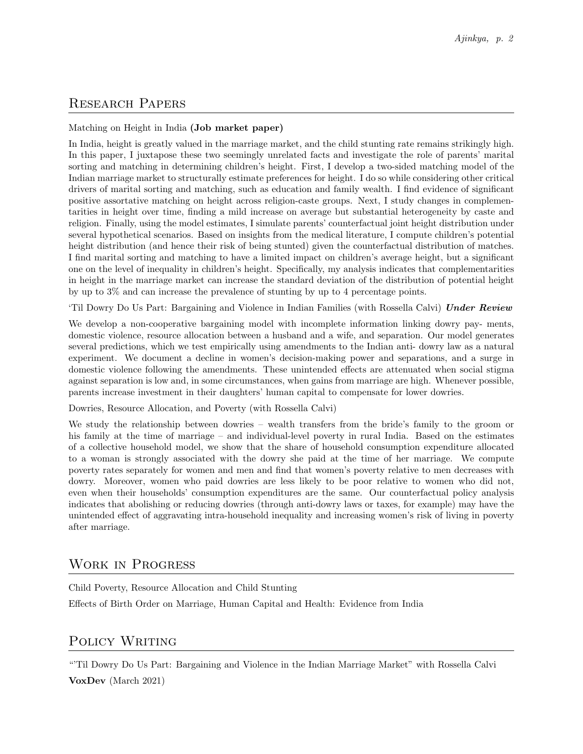# Research Papers

#### Matching on Height in India (Job market paper)

In India, height is greatly valued in the marriage market, and the child stunting rate remains strikingly high. In this paper, I juxtapose these two seemingly unrelated facts and investigate the role of parents' marital sorting and matching in determining children's height. First, I develop a two-sided matching model of the Indian marriage market to structurally estimate preferences for height. I do so while considering other critical drivers of marital sorting and matching, such as education and family wealth. I find evidence of significant positive assortative matching on height across religion-caste groups. Next, I study changes in complementarities in height over time, finding a mild increase on average but substantial heterogeneity by caste and religion. Finally, using the model estimates, I simulate parents' counterfactual joint height distribution under several hypothetical scenarios. Based on insights from the medical literature, I compute children's potential height distribution (and hence their risk of being stunted) given the counterfactual distribution of matches. I find marital sorting and matching to have a limited impact on children's average height, but a significant one on the level of inequality in children's height. Specifically, my analysis indicates that complementarities in height in the marriage market can increase the standard deviation of the distribution of potential height by up to 3% and can increase the prevalence of stunting by up to 4 percentage points.

'Til Dowry Do Us Part: Bargaining and Violence in Indian Families (with Rossella Calvi) Under Review

We develop a non-cooperative bargaining model with incomplete information linking dowry pay- ments, domestic violence, resource allocation between a husband and a wife, and separation. Our model generates several predictions, which we test empirically using amendments to the Indian anti- dowry law as a natural experiment. We document a decline in women's decision-making power and separations, and a surge in domestic violence following the amendments. These unintended effects are attenuated when social stigma against separation is low and, in some circumstances, when gains from marriage are high. Whenever possible, parents increase investment in their daughters' human capital to compensate for lower dowries.

Dowries, Resource Allocation, and Poverty (with Rossella Calvi)

We study the relationship between dowries – wealth transfers from the bride's family to the groom or his family at the time of marriage – and individual-level poverty in rural India. Based on the estimates of a collective household model, we show that the share of household consumption expenditure allocated to a woman is strongly associated with the dowry she paid at the time of her marriage. We compute poverty rates separately for women and men and find that women's poverty relative to men decreases with dowry. Moreover, women who paid dowries are less likely to be poor relative to women who did not, even when their households' consumption expenditures are the same. Our counterfactual policy analysis indicates that abolishing or reducing dowries (through anti-dowry laws or taxes, for example) may have the unintended effect of aggravating intra-household inequality and increasing women's risk of living in poverty after marriage.

### Work in Progress

Child Poverty, Resource Allocation and Child Stunting Effects of Birth Order on Marriage, Human Capital and Health: Evidence from India

### POLICY WRITING

"'Til Dowry Do Us Part: Bargaining and Violence in the Indian Marriage Market" with Rossella Calvi VoxDev (March 2021)